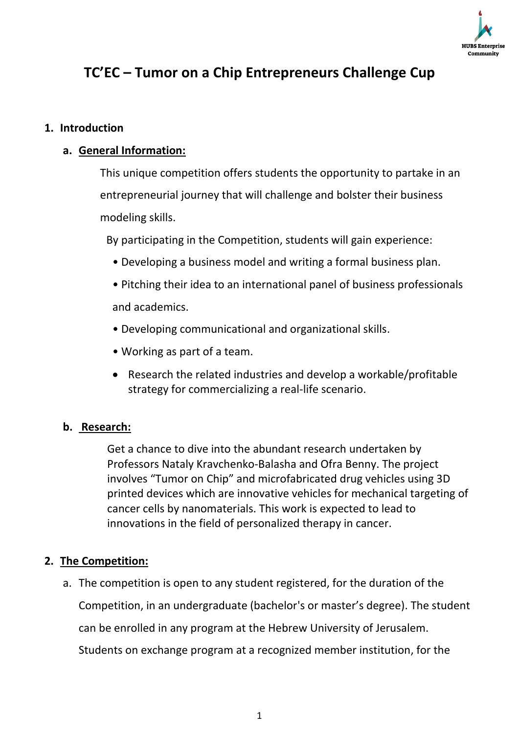

# **TC'EC – Tumor on a Chip Entrepreneurs Challenge Cup**

#### **1. Introduction**

#### **a. General Information:**

This unique competition offers students the opportunity to partake in an entrepreneurial journey that will challenge and bolster their business modeling skills.

By participating in the Competition, students will gain experience:

- Developing a business model and writing a formal business plan.
- Pitching their idea to an international panel of business professionals and academics.
- Developing communicational and organizational skills.
- Working as part of a team.
- Research the related industries and develop a workable/profitable strategy for commercializing a real-life scenario.

#### **b. Research:**

Get a chance to dive into the abundant research undertaken by Professors Nataly Kravchenko-Balasha and Ofra Benny. The project involves "Tumor on Chip" and microfabricated drug vehicles using 3D printed devices which are innovative vehicles for mechanical targeting of cancer cells by nanomaterials. This work is expected to lead to innovations in the field of personalized therapy in cancer.

#### **2. The Competition:**

a. The competition is open to any student registered, for the duration of the Competition, in an undergraduate (bachelor's or master's degree). The student can be enrolled in any program at the Hebrew University of Jerusalem. Students on exchange program at a recognized member institution, for the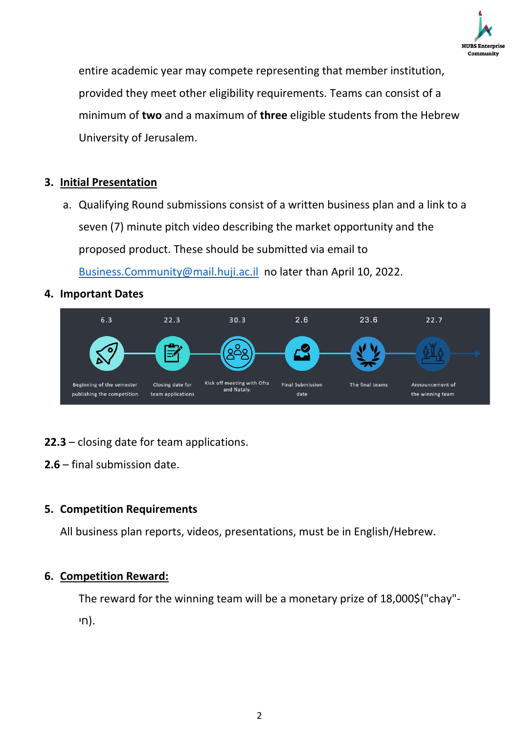

entire academic year may compete representing that member institution, provided they meet other eligibility requirements. Teams can consist of a minimum of **two** and a maximum of **three** eligible students from the Hebrew University of Jerusalem.

## **3. Initial Presentation**

a. Qualifying Round submissions consist of a written business plan and a link to a seven (7) minute pitch video describing the market opportunity and the proposed product. These should be submitted via email to

[Business.Community@mail.huji.ac.il](mailto:Business.Community@mail.huji.ac.il) no later than April 10, 2022.

#### **4. Important Dates**



#### **22.3** – closing date for team applications.

**2.6** – final submission date.

#### **5. Competition Requirements**

All business plan reports, videos, presentations, must be in English/Hebrew.

#### **6. Competition Reward:**

The reward for the winning team will be a monetary prize of 18,000\$("chay"- .(חי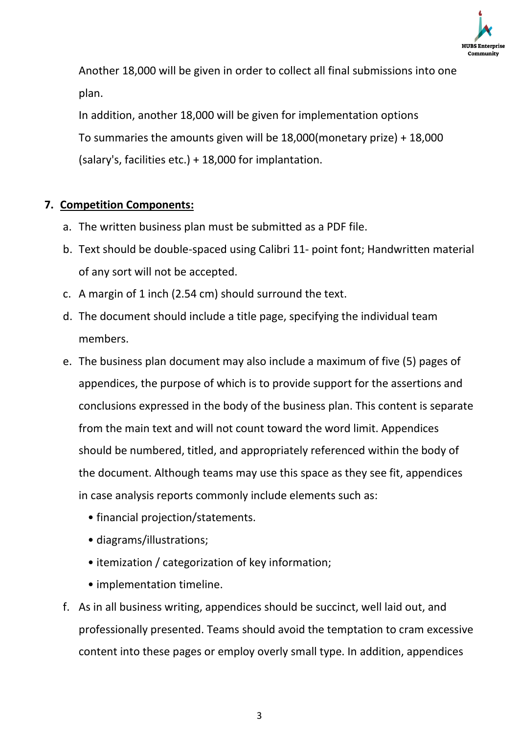

Another 18,000 will be given in order to collect all final submissions into one plan.

In addition, another 18,000 will be given for implementation options To summaries the amounts given will be 18,000(monetary prize) + 18,000 (salary's, facilities etc.) + 18,000 for implantation.

#### **7. Competition Components:**

- a. The written business plan must be submitted as a PDF file.
- b. Text should be double-spaced using Calibri 11- point font; Handwritten material of any sort will not be accepted.
- c. A margin of 1 inch (2.54 cm) should surround the text.
- d. The document should include a title page, specifying the individual team members.
- e. The business plan document may also include a maximum of five (5) pages of appendices, the purpose of which is to provide support for the assertions and conclusions expressed in the body of the business plan. This content is separate from the main text and will not count toward the word limit. Appendices should be numbered, titled, and appropriately referenced within the body of the document. Although teams may use this space as they see fit, appendices in case analysis reports commonly include elements such as:
	- financial projection/statements.
	- diagrams/illustrations;
	- itemization / categorization of key information;
	- implementation timeline.
- f. As in all business writing, appendices should be succinct, well laid out, and professionally presented. Teams should avoid the temptation to cram excessive content into these pages or employ overly small type. In addition, appendices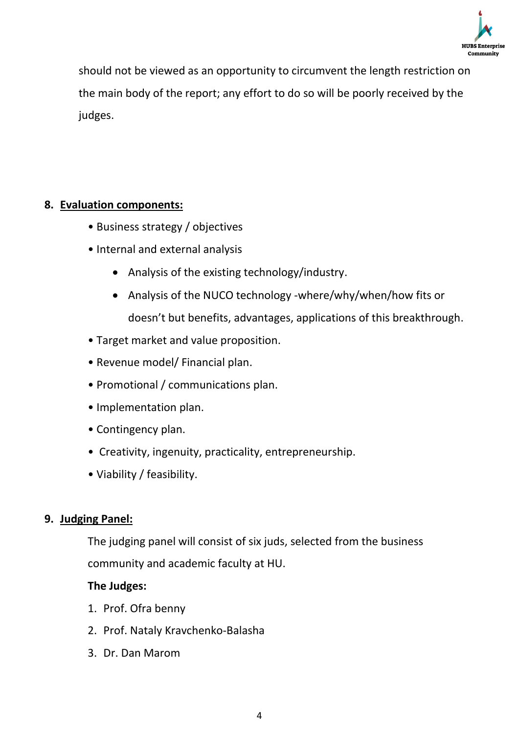

should not be viewed as an opportunity to circumvent the length restriction on the main body of the report; any effort to do so will be poorly received by the judges.

### **8. Evaluation components:**

- Business strategy / objectives
- Internal and external analysis
	- Analysis of the existing technology/industry.
	- Analysis of the NUCO technology -where/why/when/how fits or doesn't but benefits, advantages, applications of this breakthrough.
- Target market and value proposition.
- Revenue model/ Financial plan.
- Promotional / communications plan.
- Implementation plan.
- Contingency plan.
- Creativity, ingenuity, practicality, entrepreneurship.
- Viability / feasibility.

#### **9. Judging Panel:**

The judging panel will consist of six juds, selected from the business community and academic faculty at HU.

#### **The Judges:**

- 1. Prof. Ofra benny
- 2. Prof. Nataly Kravchenko-Balasha
- 3. Dr. Dan Marom